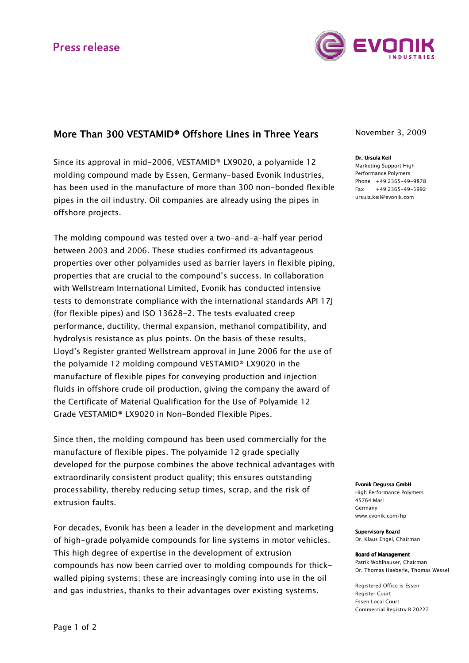

## More Than 300 VESTAMID® Offshore Lines in Three Years

Since its approval in mid-2006, VESTAMID® LX9020, a polyamide 12 molding compound made by Essen, Germany-based Evonik Industries, has been used in the manufacture of more than 300 non-bonded flexible pipes in the oil industry. Oil companies are already using the pipes in offshore projects.

The molding compound was tested over a two-and-a-half year period between 2003 and 2006. These studies confirmed its advantageous properties over other polyamides used as barrier layers in flexible piping, properties that are crucial to the compound's success. In collaboration with Wellstream International Limited, Evonik has conducted intensive tests to demonstrate compliance with the international standards API 17J (for flexible pipes) and ISO 13628-2. The tests evaluated creep performance, ductility, thermal expansion, methanol compatibility, and hydrolysis resistance as plus points. On the basis of these results, Lloyd's Register granted Wellstream approval in June 2006 for the use of the polyamide 12 molding compound VESTAMID® LX9020 in the manufacture of flexible pipes for conveying production and injection fluids in offshore crude oil production, giving the company the award of the Certificate of Material Qualification for the Use of Polyamide 12 Grade VESTAMID® LX9020 in Non-Bonded Flexible Pipes.

Since then, the molding compound has been used commercially for the manufacture of flexible pipes. The polyamide 12 grade specially developed for the purpose combines the above technical advantages with extraordinarily consistent product quality; this ensures outstanding processability, thereby reducing setup times, scrap, and the risk of extrusion faults.

For decades, Evonik has been a leader in the development and marketing of high-grade polyamide compounds for line systems in motor vehicles. This high degree of expertise in the development of extrusion compounds has now been carried over to molding compounds for thickwalled piping systems; these are increasingly coming into use in the oil and gas industries, thanks to their advantages over existing systems.

November 3, 2009

#### Dr. Ursula Keil

Marketing Support High Performance Polymers Phone +49 2365-49-9878  $Fax +49 2365 - 49 - 5992$ ursula.keil@evonik.com

Evonik Degussa GmbH

High Performance Polymers 45764 Marl Germany www.evonik.com/hp

Supervisory Board Dr. Klaus Engel, Chairman

Board of Management Patrik Wohlhauser, Chairman Dr. Thomas Haeberle, Thomas Wessel

Registered Office is Essen Register Court Essen Local Court Commercial Registry B 20227